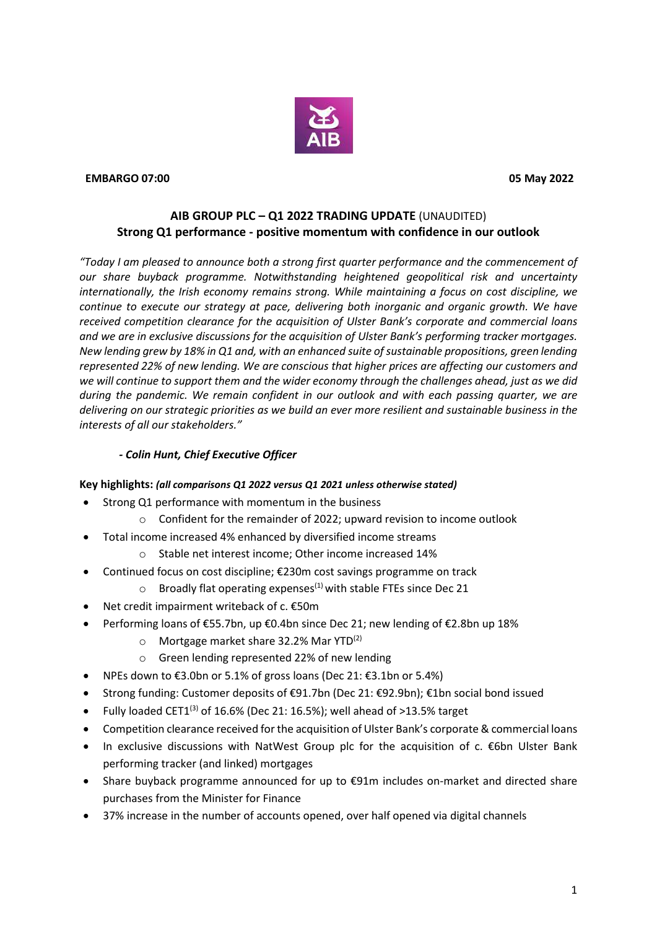

#### **EMBARGO 07:00 05 May 2022**

# **AIB GROUP PLC – Q1 2022 TRADING UPDATE** (UNAUDITED) **Strong Q1 performance - positive momentum with confidence in our outlook**

*"Today I am pleased to announce both a strong first quarter performance and the commencement of our share buyback programme. Notwithstanding heightened geopolitical risk and uncertainty internationally, the Irish economy remains strong. While maintaining a focus on cost discipline, we continue to execute our strategy at pace, delivering both inorganic and organic growth. We have received competition clearance for the acquisition of Ulster Bank's corporate and commercial loans and we are in exclusive discussions for the acquisition of Ulster Bank's performing tracker mortgages. New lending grew by 18% in Q1 and, with an enhanced suite of sustainable propositions, green lending represented 22% of new lending. We are conscious that higher prices are affecting our customers and we will continue to support them and the wider economy through the challenges ahead, just as we did during the pandemic. We remain confident in our outlook and with each passing quarter, we are delivering on our strategic priorities as we build an ever more resilient and sustainable business in the interests of all our stakeholders."* 

### *- Colin Hunt, Chief Executive Officer*

#### **Key highlights:** *(all comparisons Q1 2022 versus Q1 2021 unless otherwise stated)*

- Strong Q1 performance with momentum in the business
	- o Confident for the remainder of 2022; upward revision to income outlook
- Total income increased 4% enhanced by diversified income streams
	- o Stable net interest income; Other income increased 14%
- Continued focus on cost discipline; €230m cost savings programme on track
	- $\circ$  Broadly flat operating expenses<sup>(1)</sup> with stable FTEs since Dec 21
- Net credit impairment writeback of c.  $€50m$
- Performing loans of €55.7bn, up €0.4bn since Dec 21; new lending of €2.8bn up 18%
	- $\circ$  Mortgage market share 32.2% Mar YTD<sup>(2)</sup>
	- o Green lending represented 22% of new lending
- NPEs down to €3.0bn or 5.1% of gross loans (Dec 21: €3.1bn or 5.4%)
- Strong funding: Customer deposits of €91.7bn (Dec 21: €92.9bn); €1bn social bond issued
- Fully loaded CET1<sup>(3)</sup> of 16.6% (Dec 21: 16.5%); well ahead of  $>13.5$ % target
- Competition clearance received for the acquisition of Ulster Bank's corporate & commercial loans
- In exclusive discussions with NatWest Group plc for the acquisition of c. €6bn Ulster Bank performing tracker (and linked) mortgages
- Share buyback programme announced for up to €91m includes on-market and directed share purchases from the Minister for Finance
- 37% increase in the number of accounts opened, over half opened via digital channels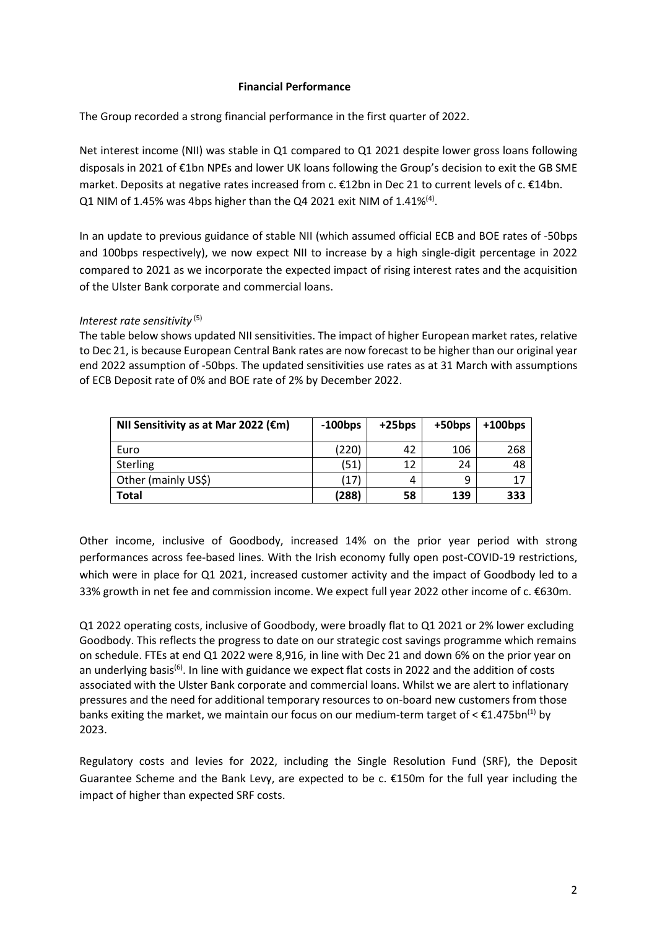#### **Financial Performance**

The Group recorded a strong financial performance in the first quarter of 2022.

Net interest income (NII) was stable in Q1 compared to Q1 2021 despite lower gross loans following disposals in 2021 of €1bn NPEs and lower UK loans following the Group's decision to exit the GB SME market. Deposits at negative rates increased from c. €12bn in Dec 21 to current levels of c. €14bn. Q1 NIM of 1.45% was 4bps higher than the Q4 2021 exit NIM of 1.41%<sup>(4)</sup>.

In an update to previous guidance of stable NII (which assumed official ECB and BOE rates of -50bps and 100bps respectively), we now expect NII to increase by a high single-digit percentage in 2022 compared to 2021 as we incorporate the expected impact of rising interest rates and the acquisition of the Ulster Bank corporate and commercial loans.

Interest rate sensitivity<sup>(5)</sup>

The table below shows updated NII sensitivities. The impact of higher European market rates, relative to Dec 21, is because European Central Bank rates are now forecast to be higher than our original year end 2022 assumption of -50bps. The updated sensitivities use rates as at 31 March with assumptions of ECB Deposit rate of 0% and BOE rate of 2% by December 2022.

| NII Sensitivity as at Mar 2022 (€m) | $-100$ bps | $+25bps$ | +50bps | $+100$ bps |
|-------------------------------------|------------|----------|--------|------------|
| Euro                                | (220)      | 42       | 106    | 268        |
| <b>Sterling</b>                     | (51)       | 12       | 24     | 48         |
| Other (mainly US\$)                 | (17)       | 4        | 9      | 17         |
| <b>Total</b>                        | (288)      | 58       | 139    | 333        |

Other income, inclusive of Goodbody, increased 14% on the prior year period with strong performances across fee-based lines. With the Irish economy fully open post-COVID-19 restrictions, which were in place for Q1 2021, increased customer activity and the impact of Goodbody led to a 33% growth in net fee and commission income. We expect full year 2022 other income of c. €630m.

Q1 2022 operating costs, inclusive of Goodbody, were broadly flat to Q1 2021 or 2% lower excluding Goodbody. This reflects the progress to date on our strategic cost savings programme which remains on schedule. FTEs at end Q1 2022 were 8,916, in line with Dec 21 and down 6% on the prior year on an underlying basis<sup>(6)</sup>. In line with guidance we expect flat costs in 2022 and the addition of costs associated with the Ulster Bank corporate and commercial loans. Whilst we are alert to inflationary pressures and the need for additional temporary resources to on-board new customers from those banks exiting the market, we maintain our focus on our medium-term target of  $\leq \epsilon 1.475$ bn<sup>(1)</sup> by 2023.

Regulatory costs and levies for 2022, including the Single Resolution Fund (SRF), the Deposit Guarantee Scheme and the Bank Levy, are expected to be c. €150m for the full year including the impact of higher than expected SRF costs.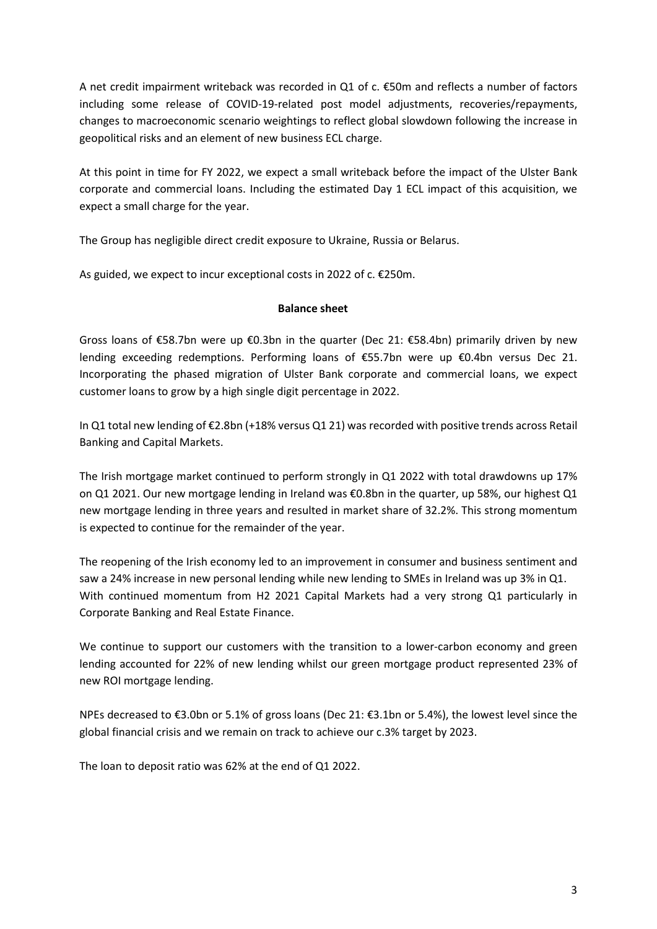A net credit impairment writeback was recorded in Q1 of c. €50m and reflects a number of factors including some release of COVID-19-related post model adjustments, recoveries/repayments, changes to macroeconomic scenario weightings to reflect global slowdown following the increase in geopolitical risks and an element of new business ECL charge.

At this point in time for FY 2022, we expect a small writeback before the impact of the Ulster Bank corporate and commercial loans. Including the estimated Day 1 ECL impact of this acquisition, we expect a small charge for the year.

The Group has negligible direct credit exposure to Ukraine, Russia or Belarus.

As guided, we expect to incur exceptional costs in 2022 of c. €250m.

### **Balance sheet**

Gross loans of €58.7bn were up €0.3bn in the quarter (Dec 21: €58.4bn) primarily driven by new lending exceeding redemptions. Performing loans of €55.7bn were up €0.4bn versus Dec 21. Incorporating the phased migration of Ulster Bank corporate and commercial loans, we expect customer loans to grow by a high single digit percentage in 2022.

In Q1 total new lending of €2.8bn (+18% versus Q1 21) was recorded with positive trends across Retail Banking and Capital Markets.

The Irish mortgage market continued to perform strongly in Q1 2022 with total drawdowns up 17% on Q1 2021. Our new mortgage lending in Ireland was €0.8bn in the quarter, up 58%, our highest Q1 new mortgage lending in three years and resulted in market share of 32.2%. This strong momentum is expected to continue for the remainder of the year.

The reopening of the Irish economy led to an improvement in consumer and business sentiment and saw a 24% increase in new personal lending while new lending to SMEs in Ireland was up 3% in Q1. With continued momentum from H2 2021 Capital Markets had a very strong Q1 particularly in Corporate Banking and Real Estate Finance.

We continue to support our customers with the transition to a lower-carbon economy and green lending accounted for 22% of new lending whilst our green mortgage product represented 23% of new ROI mortgage lending.

NPEs decreased to €3.0bn or 5.1% of gross loans (Dec 21: €3.1bn or 5.4%), the lowest level since the global financial crisis and we remain on track to achieve our c.3% target by 2023.

The loan to deposit ratio was 62% at the end of Q1 2022.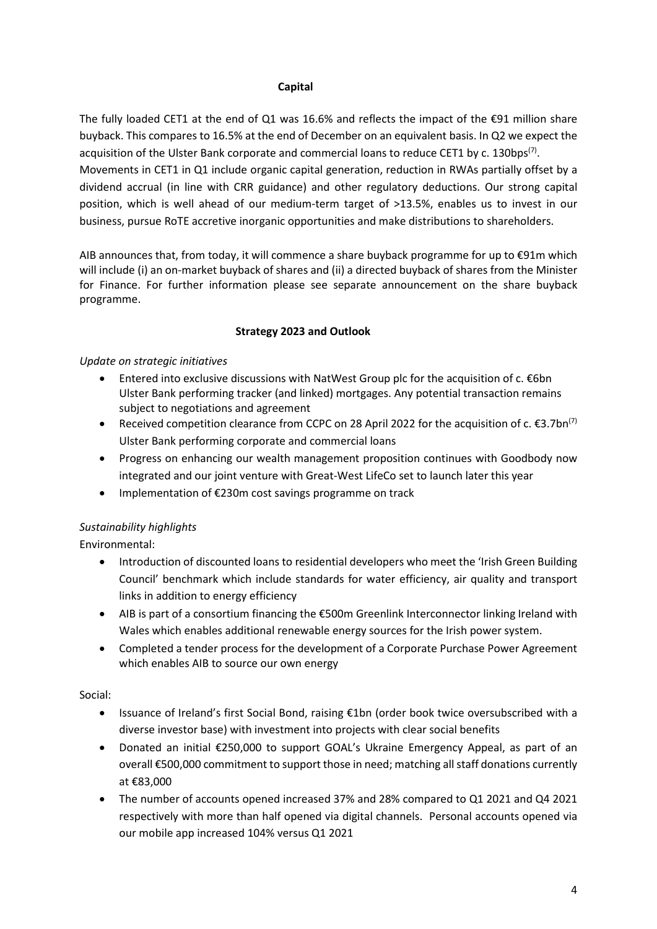### **Capital**

The fully loaded CET1 at the end of Q1 was 16.6% and reflects the impact of the  $\epsilon$ 91 million share buyback. This compares to 16.5% at the end of December on an equivalent basis. In Q2 we expect the acquisition of the Ulster Bank corporate and commercial loans to reduce CET1 by c. 130bps<sup>(7)</sup>. Movements in CET1 in Q1 include organic capital generation, reduction in RWAs partially offset by a dividend accrual (in line with CRR guidance) and other regulatory deductions. Our strong capital position, which is well ahead of our medium-term target of >13.5%, enables us to invest in our business, pursue RoTE accretive inorganic opportunities and make distributions to shareholders.

AIB announces that, from today, it will commence a share buyback programme for up to €91m which will include (i) an on-market buyback of shares and (ii) a directed buyback of shares from the Minister for Finance. For further information please see separate announcement on the share buyback programme.

# **Strategy 2023 and Outlook**

# *Update on strategic initiatives*

- Entered into exclusive discussions with NatWest Group plc for the acquisition of c. €6bn Ulster Bank performing tracker (and linked) mortgages. Any potential transaction remains subject to negotiations and agreement
- Received competition clearance from CCPC on 28 April 2022 for the acquisition of c.  $\epsilon$ 3.7bn<sup>(7)</sup> Ulster Bank performing corporate and commercial loans
- Progress on enhancing our wealth management proposition continues with Goodbody now integrated and our joint venture with Great-West LifeCo set to launch later this year
- Implementation of €230m cost savings programme on track

# *Sustainability highlights*

Environmental:

- Introduction of discounted loans to residential developers who meet the 'Irish Green Building Council' benchmark which include standards for water efficiency, air quality and transport links in addition to energy efficiency
- AIB is part of a consortium financing the €500m Greenlink Interconnector linking Ireland with Wales which enables additional renewable energy sources for the Irish power system.
- Completed a tender process for the development of a Corporate Purchase Power Agreement which enables AIB to source our own energy

Social:

- Issuance of Ireland's first Social Bond, raising €1bn (order book twice oversubscribed with a diverse investor base) with investment into projects with clear social benefits
- Donated an initial €250,000 to support GOAL's Ukraine Emergency Appeal, as part of an overall €500,000 commitment to support those in need; matching all staff donations currently at €83,000
- The number of accounts opened increased 37% and 28% compared to Q1 2021 and Q4 2021 respectively with more than half opened via digital channels. Personal accounts opened via our mobile app increased 104% versus Q1 2021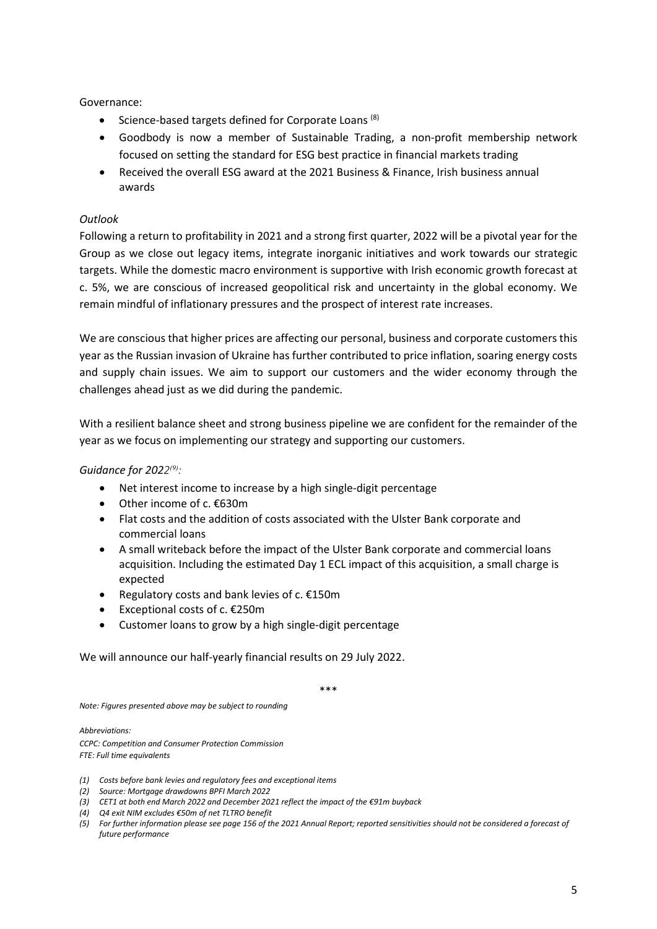Governance:

- Science-based targets defined for Corporate Loans<sup>(8)</sup>
- Goodbody is now a member of Sustainable Trading, a non-profit membership network focused on setting the standard for ESG best practice in financial markets trading
- Received the overall ESG award at the 2021 Business & Finance, Irish business annual awards

### *Outlook*

Following a return to profitability in 2021 and a strong first quarter, 2022 will be a pivotal year for the Group as we close out legacy items, integrate inorganic initiatives and work towards our strategic targets. While the domestic macro environment is supportive with Irish economic growth forecast at c. 5%, we are conscious of increased geopolitical risk and uncertainty in the global economy. We remain mindful of inflationary pressures and the prospect of interest rate increases.

We are conscious that higher prices are affecting our personal, business and corporate customers this year as the Russian invasion of Ukraine has further contributed to price inflation, soaring energy costs and supply chain issues. We aim to support our customers and the wider economy through the challenges ahead just as we did during the pandemic.

With a resilient balance sheet and strong business pipeline we are confident for the remainder of the year as we focus on implementing our strategy and supporting our customers.

*Guidance for 2022<sup>(9)</sup>*:

- Net interest income to increase by a high single-digit percentage
- Other income of c. €630m
- Flat costs and the addition of costs associated with the Ulster Bank corporate and commercial loans
- A small writeback before the impact of the Ulster Bank corporate and commercial loans acquisition. Including the estimated Day 1 ECL impact of this acquisition, a small charge is expected
- Regulatory costs and bank levies of c. €150m
- Exceptional costs of c. €250m
- Customer loans to grow by a high single-digit percentage

We will announce our half-yearly financial results on 29 July 2022.

\*\*\*

*Note: Figures presented above may be subject to rounding* 

*Abbreviations: CCPC: Competition and Consumer Protection Commission FTE: Full time equivalents* 

- *(1) Costs before bank levies and regulatory fees and exceptional items*
- *(2) Source: Mortgage drawdowns BPFI March 2022*
- *(3) CET1 at both end March 2022 and December 2021 reflect the impact of the €91m buyback*
- *(4) Q4 exit NIM excludes €50m of net TLTRO benefit*
- *(5) For further information please see page 156 of the 2021 Annual Report; reported sensitivities should not be considered a forecast of future performance*